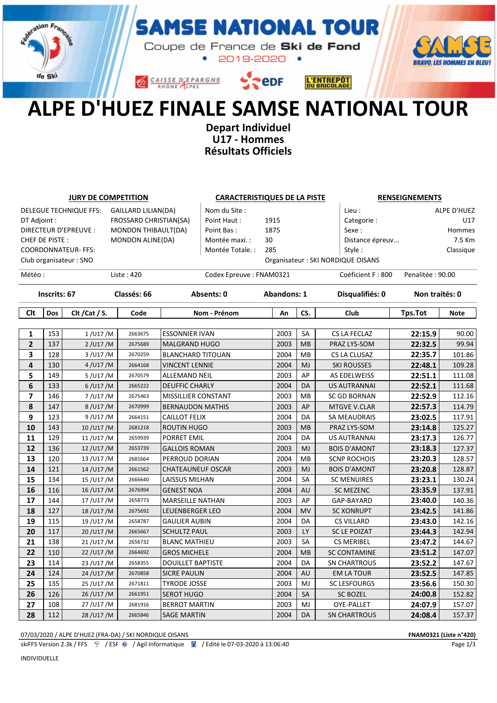

#### **MSE NATIONAL TOUR** S,

Coupe de France de Ski de Fond  $\bullet$ 2019-2020 •



CAISSE D'EPARGNE



# ALPE D'HUEZ FINALE SAMSE NATIONAL TOUR

Depart Individuel U17 - Hommes Résultats Officiels

| <b>JURY DE COMPETITION</b>                           |     |                        | <b>CARACTERISTIQUES DE LA PISTE</b> |                          |                         |                    | <b>RENSEIGNEMENTS</b> |                                    |                  |                |  |
|------------------------------------------------------|-----|------------------------|-------------------------------------|--------------------------|-------------------------|--------------------|-----------------------|------------------------------------|------------------|----------------|--|
| DELEGUE TECHNIQUE FFS:<br><b>GAILLARD LILIAN(DA)</b> |     |                        |                                     | Nom du Site:             |                         |                    | Lieu:                 |                                    | ALPE D'HUEZ      |                |  |
| DT Adjoint :                                         |     |                        | FROSSARD CHRISTIAN(SA)              |                          | Point Haut:             | 1915               |                       | Categorie:                         |                  | U17            |  |
| <b>DIRECTEUR D'EPREUVE :</b>                         |     |                        | MONDON THIBAULT(DA)                 |                          | Point Bas:              | 1875               |                       | Sexe:                              |                  | Hommes         |  |
| CHEF DE PISTE:                                       |     |                        | MONDON ALINE(DA)                    |                          | 30                      |                    |                       | Distance épreuv                    |                  |                |  |
| <b>COORDONNATEUR- FFS:</b>                           |     |                        |                                     | Montée Totale. :         | 285                     |                    | Style:                |                                    | Classique        |                |  |
|                                                      |     | Club organisateur: SNO |                                     |                          |                         |                    |                       | Organisateur : SKI NORDIQUE OISANS |                  |                |  |
| Météo:                                               |     |                        | Liste: 420                          |                          | Codex Epreuve: FNAM0321 |                    |                       | Coéficient F: 800                  | Penalitée: 90.00 |                |  |
| Inscrits: 67                                         |     |                        | Classés: 66                         |                          | Absents: 0              | <b>Abandons: 1</b> |                       | Disqualifiés: 0                    |                  | Non traités: 0 |  |
| <b>Clt</b>                                           | Dos | Clt / Cat / S.         | Code                                |                          | Nom - Prénom            | An                 | CS.                   | Club                               | <b>Tps.Tot</b>   | <b>Note</b>    |  |
|                                                      |     |                        |                                     |                          |                         |                    |                       |                                    |                  |                |  |
| $\mathbf{1}$                                         | 153 | 1/U17/M                | 2663675                             | <b>ESSONNIER IVAN</b>    |                         | 2003               | <b>SA</b>             | CS LA FECLAZ                       | 22:15.9          | 90.00          |  |
| $\mathbf{2}$                                         | 137 | 2/U17/M                | 2675689                             | <b>MALGRAND HUGO</b>     |                         | 2003               | <b>MB</b>             | PRAZ LYS-SOM                       | 22:32.5          | 99.94          |  |
| 3                                                    | 128 | 3/U17/M                | 2670259                             | <b>BLANCHARD TITOUAN</b> |                         | 2004               | <b>MB</b>             | CS LA CLUSAZ                       | 22:35.7          | 101.86         |  |
| 4                                                    | 130 | 4/U17/M                | 2664168                             | <b>VINCENT LENNIE</b>    |                         | 2004               | MJ                    | <b>SKI ROUSSES</b>                 | 22:48.1          | 109.28         |  |
| 5                                                    | 149 | 5/U17/M                | 2670579                             | <b>ALLEMAND NEIL</b>     |                         | 2003               | AP                    | AS EDELWEISS                       | 22:51.1          | 111.08         |  |
| 6                                                    | 133 | $6/$ U17/M             | 2665222                             | <b>DEUFFIC CHARLY</b>    |                         | 2004               | DA                    | <b>US AUTRANNAI</b>                | 22:52.1          | 111.68         |  |
| 7                                                    | 146 | 7/U17/M                | 2675463                             | MISSILLIER CONSTANT      |                         | 2003               | <b>MB</b>             | <b>SC GD BORNAN</b>                | 22:52.9          | 112.16         |  |
| 8                                                    | 147 | 8/U17/M                | 2670999                             | <b>BERNAUDON MATHIS</b>  |                         | 2003               | AP                    | <b>MTGVE V.CLAR</b>                | 22:57.3          | 114.79         |  |
| 9                                                    | 123 | 9/U17/M                | 2664151                             | <b>CAILLOT FELIX</b>     |                         | 2004               | DA                    | <b>SA MEAUDRAIS</b>                | 23:02.5          | 117.91         |  |
| 10                                                   | 143 | 10/U17/M               | 2681218                             | ROUTIN HUGO              |                         | 2003               | <b>MB</b>             | PRAZ LYS-SOM                       | 23:14.8          | 125.27         |  |
| 11                                                   | 129 | 11/U17/M               | 2659939                             | PORRET EMIL              |                         | 2004               | DA                    | <b>US AUTRANNAI</b>                | 23:17.3          | 126.77         |  |
| 12                                                   | 136 | 12/U17/M               | 2653739                             | <b>GALLOIS ROMAN</b>     |                         | 2003               | MJ                    | <b>BOIS D'AMONT</b>                | 23:18.3          | 127.37         |  |
| 13                                                   | 120 | 13/U17/M               | 2681664                             | PERROUD DORIAN           |                         | 2004               | <b>MB</b>             | <b>SCNP ROCHOIS</b>                | 23:20.3          | 128.57         |  |
| 14                                                   | 121 | 14/U17/M               | 2661562                             | <b>CHATEAUNEUF OSCAR</b> |                         | 2003               | MJ                    | <b>BOIS D'AMONT</b>                | 23:20.8          | 128.87         |  |
| 15                                                   | 134 | 15/U17/M               | 2666640                             | <b>LAISSUS MILHAN</b>    |                         | 2004               | SA                    | <b>SC MENUIRES</b>                 | 23:23.1          | 130.24         |  |
| 16                                                   | 116 | 16/U17/M               | 2676994                             | <b>GENEST NOA</b>        |                         | 2004               | <b>AU</b>             | <b>SC MEZENC</b>                   | 23:35.9          | 137.91         |  |
| 17                                                   | 144 | 17/U17/M               | 2658773                             | <b>MARSEILLE NATHAN</b>  |                         | 2003               | AP                    | GAP-BAYARD                         | 23:40.0          | 140.36         |  |
| 18                                                   | 127 | 18/U17/M               | 2675692                             | <b>LEUENBERGER LEO</b>   |                         | 2004               | MV                    | <b>SC XONRUPT</b>                  | 23:42.5          | 141.86         |  |
| 19                                                   | 115 | 19/U17/M               | 2658787                             | <b>GAULIER AUBIN</b>     |                         | 2004               | DA                    | <b>CS VILLARD</b>                  | 23:43.0          | 142.16         |  |
| 20                                                   | 117 | 20/U17/M               | 2665667                             | <b>SCHULTZ PAUL</b>      |                         | 2003               | LY                    | <b>SC LE POIZAT</b>                | 23:44.3          | 142.94         |  |
| 21                                                   | 138 | 21/U17/M               | 2656732                             | <b>BLANC MATHIEU</b>     |                         | 2003               | <b>SA</b>             | <b>CS MERIBEL</b>                  | 23:47.2          | 144.67         |  |
| 22                                                   | 110 | 22/U17/M               | 2664692                             | <b>GROS MICHELE</b>      |                         | 2004               | <b>MB</b>             | <b>SC CONTAMINE</b>                | 23:51.2          | 147.07         |  |
| 23                                                   | 114 | 23/U17/M               | 2658355                             | <b>DOUILLET BAPTISTE</b> |                         | 2004               | DA                    | <b>SN CHARTROUS</b>                | 23:52.2          | 147.67         |  |
| 24                                                   | 124 | 24/U17/M               | 2670858                             | <b>SICRE PAULIN</b>      |                         | 2004               | AU                    | <b>EM LA TOUR</b>                  | 23:52.5          | 147.85         |  |
| 25                                                   | 135 | 25/U17/M               | 2671811                             | <b>TYRODE JOSSE</b>      |                         | 2003               | MJ                    | <b>SC LESFOURGS</b>                | 23:56.6          | 150.30         |  |
| 26                                                   | 126 | 26/U17/M               | 2661951                             | <b>SEROT HUGO</b>        |                         | 2004               | SA                    | <b>SC BOZEL</b>                    | 24:00.8          | 152.82         |  |
| 27                                                   | 108 | 27/U17/M               | 2681916                             | <b>BERROT MARTIN</b>     |                         | 2003               | MJ                    | OYE-PALLET                         | 24:07.9          | 157.07         |  |
| 28                                                   | 112 | 28/U17/M               | 2665846                             | <b>SAGE MARTIN</b>       |                         | 2004               | DA                    | <b>SN CHARTROUS</b>                | 24:08.4          | 157.37         |  |

07/03/2020 / ALPE D'HUEZ (FRA-DA) / SKI NORDIQUE OISANS FOR AN ANNO 1999 OF ANNO 1999 ANNO 1999 OF ANNO 1999 A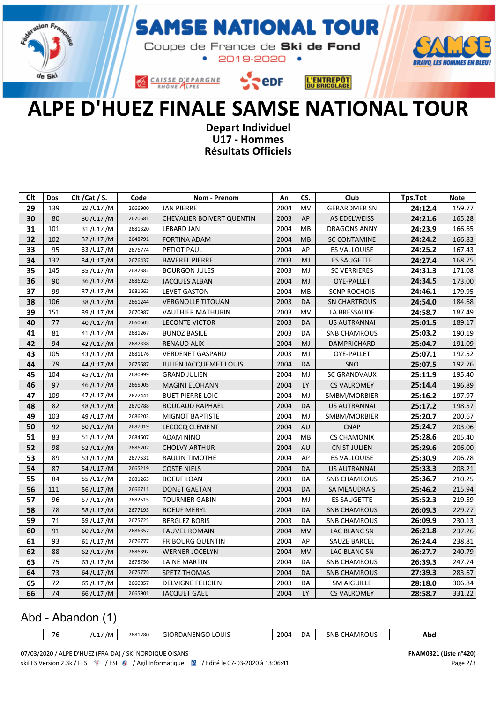

### **MSE NATIONAL TOUR**

Coupe de France de Ski de Fond  $\bullet$ 2019-2020 •



CAISSE D'EPARGNE



## ALPE D'HUEZ FINALE SAMSE NATIONAL TOUR

Depart Individuel U17 - Hommes Résultats Officiels

| Clt | <b>Dos</b> | Clt / Cat / S. | Code    | Nom - Prénom                     | An   | CS.       | Club                | Tps.Tot | <b>Note</b> |
|-----|------------|----------------|---------|----------------------------------|------|-----------|---------------------|---------|-------------|
| 29  | 139        | 29/U17/M       | 2666900 | <b>JAN PIERRE</b>                | 2004 | <b>MV</b> | <b>GERARDMER SN</b> | 24:12.4 | 159.77      |
| 30  | 80         | 30/U17/M       | 2670581 | <b>CHEVALIER BOIVERT QUENTIN</b> | 2003 | AP        | AS EDELWEISS        | 24:21.6 | 165.28      |
| 31  | 101        | 31/U17/M       | 2681320 | <b>LEBARD JAN</b>                | 2004 | MB        | <b>DRAGONS ANNY</b> | 24:23.9 | 166.65      |
| 32  | 102        | 32/U17/M       | 2648791 | <b>FORTINA ADAM</b>              | 2004 | MB        | <b>SC CONTAMINE</b> | 24:24.2 | 166.83      |
| 33  | 95         | 33/U17/M       | 2676774 | PETIOT PAUL                      | 2004 | AP        | <b>ES VALLOUISE</b> | 24:25.2 | 167.43      |
| 34  | 132        | 34/U17/M       | 2676437 | <b>BAVEREL PIERRE</b>            | 2003 | MJ        | <b>ES SAUGETTE</b>  | 24:27.4 | 168.75      |
| 35  | 145        | 35/U17/M       | 2682382 | <b>BOURGON JULES</b>             | 2003 | MJ        | <b>SC VERRIERES</b> | 24:31.3 | 171.08      |
| 36  | 90         | 36/U17/M       | 2686923 | <b>JACQUES ALBAN</b>             | 2004 | MJ        | OYE-PALLET          | 24:34.5 | 173.00      |
| 37  | 99         | 37/U17/M       | 2681663 | <b>LEVET GASTON</b>              | 2004 | MB        | <b>SCNP ROCHOIS</b> | 24:46.1 | 179.95      |
| 38  | 106        | 38/U17/M       | 2661244 | <b>VERGNOLLE TITOUAN</b>         | 2003 | DA        | <b>SN CHARTROUS</b> | 24:54.0 | 184.68      |
| 39  | 151        | 39/U17/M       | 2670987 | <b>VAUTHIER MATHURIN</b>         | 2003 | MV        | LA BRESSAUDE        | 24:58.7 | 187.49      |
| 40  | 77         | 40/U17/M       | 2660505 | <b>LECONTE VICTOR</b>            | 2003 | DA        | <b>US AUTRANNAI</b> | 25:01.5 | 189.17      |
| 41  | 81         | 41/U17/M       | 2681267 | <b>BUNOZ BASILE</b>              | 2003 | DA        | <b>SNB CHAMROUS</b> | 25:03.2 | 190.19      |
| 42  | 94         | 42/U17/M       | 2687338 | <b>RENAUD ALIX</b>               | 2004 | MJ        | DAMPRICHARD         | 25:04.7 | 191.09      |
| 43  | 105        | 43/U17/M       | 2681176 | <b>VERDENET GASPARD</b>          | 2003 | MJ        | OYE-PALLET          | 25:07.1 | 192.52      |
| 44  | 79         | 44/U17/M       | 2675687 | <b>JULIEN JACQUEMET LOUIS</b>    | 2004 | DA        | <b>SNO</b>          | 25:07.5 | 192.76      |
| 45  | 104        | 45/U17/M       | 2680999 | <b>GRAND JULIEN</b>              | 2004 | MJ        | <b>SC GRANDVAUX</b> | 25:11.9 | 195.40      |
| 46  | 97         | 46/U17/M       | 2665905 | <b>MAGINI ELOHANN</b>            | 2004 | <b>LY</b> | <b>CS VALROMEY</b>  | 25:14.4 | 196.89      |
| 47  | 109        | 47/U17/M       | 2677441 | <b>BUET PIERRE LOIC</b>          | 2004 | MJ        | SMBM/MORBIER        | 25:16.2 | 197.97      |
| 48  | 82         | 48/U17/M       | 2670788 | <b>BOUCAUD RAPHAEL</b>           | 2004 | DA        | US AUTRANNAI        | 25:17.2 | 198.57      |
| 49  | 103        | 49/U17/M       | 2686203 | <b>MIGNOT BAPTISTE</b>           | 2004 | MJ        | SMBM/MORBIER        | 25:20.7 | 200.67      |
| 50  | 92         | 50/U17/M       | 2687019 | <b>LECOCQ CLEMENT</b>            | 2004 | AU        | <b>CNAP</b>         | 25:24.7 | 203.06      |
| 51  | 83         | 51/U17/M       | 2684607 | <b>ADAM NINO</b>                 | 2004 | MB        | <b>CS CHAMONIX</b>  | 25:28.6 | 205.40      |
| 52  | 98         | 52/U17/M       | 2686207 | <b>CHOLVY ARTHUR</b>             | 2004 | AU        | <b>CN ST JULIEN</b> | 25:29.6 | 206.00      |
| 53  | 89         | 53/U17/M       | 2677531 | <b>RAULIN TIMOTHE</b>            | 2004 | AP        | <b>ES VALLOUISE</b> | 25:30.9 | 206.78      |
| 54  | 87         | 54/U17/M       | 2665219 | <b>COSTE NIELS</b>               | 2004 | DA        | <b>US AUTRANNAI</b> | 25:33.3 | 208.21      |
| 55  | 84         | 55/U17/M       | 2681263 | <b>BOEUF LOAN</b>                | 2003 | DA        | <b>SNB CHAMROUS</b> | 25:36.7 | 210.25      |
| 56  | 111        | 56/U17/M       | 2666711 | <b>DONET GAETAN</b>              | 2004 | <b>DA</b> | SA MEAUDRAIS        | 25:46.2 | 215.94      |
| 57  | 96         | 57/U17/M       | 2682515 | <b>TOURNIER GABIN</b>            | 2004 | MJ        | <b>ES SAUGETTE</b>  | 25:52.3 | 219.59      |
| 58  | 78         | 58/U17/M       | 2677193 | <b>BOEUF MERYL</b>               | 2004 | DA        | <b>SNB CHAMROUS</b> | 26:09.3 | 229.77      |
| 59  | 71         | 59/U17/M       | 2675725 | <b>BERGLEZ BORIS</b>             | 2003 | DA        | <b>SNB CHAMROUS</b> | 26:09.9 | 230.13      |
| 60  | 91         | 60/U17/M       | 2686357 | <b>FAUVEL ROMAIN</b>             | 2004 | <b>MV</b> | LAC BLANC SN        | 26:21.8 | 237.26      |
| 61  | 93         | 61/U17/M       | 2676777 | <b>FRIBOURG QUENTIN</b>          | 2004 | AP        | <b>SAUZE BARCEL</b> | 26:24.4 | 238.81      |
| 62  | 88         | 62/U17/M       | 2686392 | <b>WERNER JOCELYN</b>            | 2004 | <b>MV</b> | LAC BLANC SN        | 26:27.7 | 240.79      |
| 63  | 75         | 63/U17/M       | 2675750 | LAINE MARTIN                     | 2004 | DA        | <b>SNB CHAMROUS</b> | 26:39.3 | 247.74      |
| 64  | 73         | 64/U17/M       | 2675775 | <b>SPETZ THOMAS</b>              | 2004 | DA        | <b>SNB CHAMROUS</b> | 27:39.3 | 283.67      |
| 65  | 72         | 65/U17/M       | 2660857 | <b>DELVIGNE FELICIEN</b>         | 2003 | DA        | <b>SM AIGUILLE</b>  | 28:18.0 | 306.84      |
| 66  | 74         | 66/U17/M       | 2665901 | <b>JACQUET GAEL</b>              | 2004 | <b>LY</b> | <b>CS VALROMEY</b>  | 28:58.7 | 331.22      |

#### Abd - Abandon (1)

| $\overline{\phantom{a}}$<br>$\cdot$ | $1114 -$<br>' /M<br>. ۲. ب | 2681280 | LOUIS<br>IOR<br>`⊏NG<br>. $1 \wedge N'$<br>ור \י<br>. | 2004<br>$ -$ | DA | <b>HAMROUS</b><br>SNB | ADC |  |
|-------------------------------------|----------------------------|---------|-------------------------------------------------------|--------------|----|-----------------------|-----|--|
|                                     |                            |         |                                                       |              |    |                       |     |  |